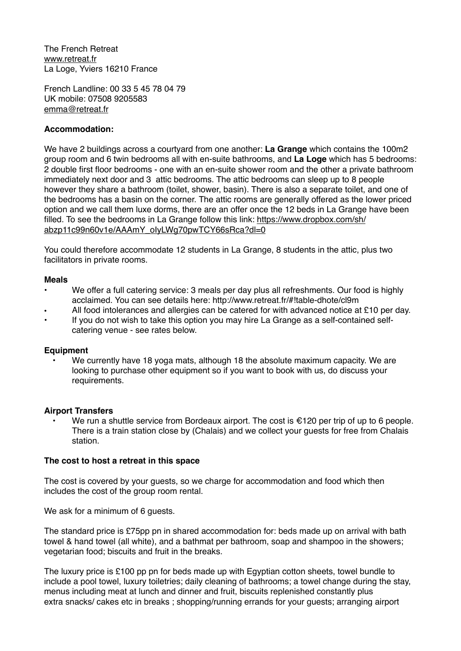The French Retreat [www.retreat.fr](http://www.retreat.fr) La Loge, Yviers 16210 France

French Landline: 00 33 5 45 78 04 79 UK mobile: 07508 9205583 [emma@retreat.fr](mailto:emma@retreat.fr)

# **Accommodation:**

We have 2 buildings across a courtyard from one another: **La Grange** which contains the 100m2 group room and 6 twin bedrooms all with en-suite bathrooms, and **La Loge** which has 5 bedrooms: 2 double first floor bedrooms - one with an en-suite shower room and the other a private bathroom immediately next door and 3 attic bedrooms. The attic bedrooms can sleep up to 8 people however they share a bathroom (toilet, shower, basin). There is also a separate toilet, and one of the bedrooms has a basin on the corner. The attic rooms are generally offered as the lower priced option and we call them luxe dorms, there are an offer once the 12 beds in La Grange have been [filled. To see the bedrooms in La Grange follow this link: https://www.dropbox.com/sh/](https://www.dropbox.com/sh/abzp11c99n60v1e/AAAmY_oIyLWg70pwTCY66sRca?dl=0) abzp11c99n60v1e/AAAmY\_olvLWg70pwTCY66sRca?dl=0

You could therefore accommodate 12 students in La Grange, 8 students in the attic, plus two facilitators in private rooms.

## **Meals**

- We offer a full catering service: 3 meals per day plus all refreshments. Our food is highly acclaimed. You can see details here: http://www.retreat.fr/#!table-dhote/cl9m
- All food intolerances and allergies can be catered for with advanced notice at £10 per day.
- If you do not wish to take this option you may hire La Grange as a self-contained selfcatering venue - see rates below.

## **Equipment**

We currently have 18 yoga mats, although 18 the absolute maximum capacity. We are looking to purchase other equipment so if you want to book with us, do discuss your requirements.

## **Airport Transfers**

We run a shuttle service from Bordeaux airport. The cost is  $\epsilon$ 120 per trip of up to 6 people. There is a train station close by (Chalais) and we collect your guests for free from Chalais station.

## **The cost to host a retreat in this space**

The cost is covered by your guests, so we charge for accommodation and food which then includes the cost of the group room rental.

We ask for a minimum of 6 guests.

The standard price is £75pp pn in shared accommodation for: beds made up on arrival with bath towel & hand towel (all white), and a bathmat per bathroom, soap and shampoo in the showers; vegetarian food; biscuits and fruit in the breaks.

The luxury price is £100 pp pn for beds made up with Egyptian cotton sheets, towel bundle to include a pool towel, luxury toiletries; daily cleaning of bathrooms; a towel change during the stay, menus including meat at lunch and dinner and fruit, biscuits replenished constantly plus extra snacks/ cakes etc in breaks ; shopping/running errands for your guests; arranging airport